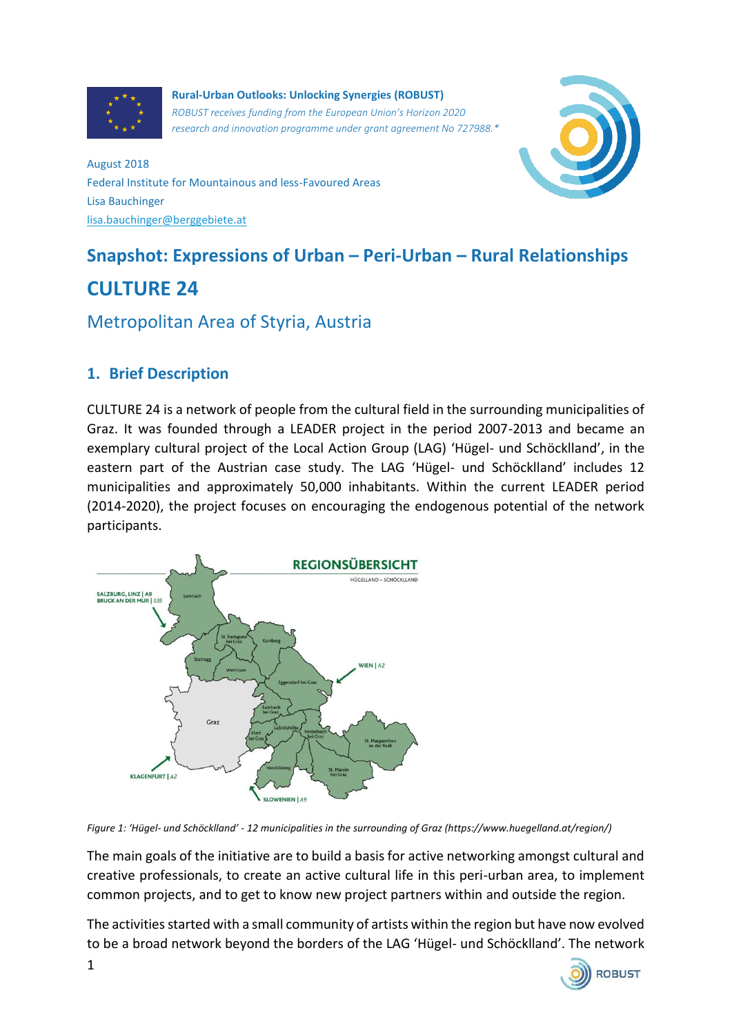

**Rural-Urban Outlooks: Unlocking Synergies (ROBUST)** *ROBUST receives funding from the European Union's Horizon 2020 research and innovation programme under grant agreement No 727988.\**



August 2018 Federal Institute for Mountainous and less-Favoured Areas Lisa Bauchinger [lisa.bauchinger@berggebiete.at](mailto:lisa.bauchinger@berggebiete.at)

# **Snapshot: Expressions of Urban – Peri-Urban – Rural Relationships CULTURE 24**

## Metropolitan Area of Styria, Austria

#### **1. Brief Description**

CULTURE 24 is a network of people from the cultural field in the surrounding municipalities of Graz. It was founded through a LEADER project in the period 2007-2013 and became an exemplary cultural project of the Local Action Group (LAG) 'Hügel- und Schöcklland', in the eastern part of the Austrian case study. The LAG 'Hügel- und Schöcklland' includes 12 municipalities and approximately 50,000 inhabitants. Within the current LEADER period (2014-2020), the project focuses on encouraging the endogenous potential of the network participants.



*Figure 1: 'Hügel- und Schöcklland' - 12 municipalities in the surrounding of Graz (https://www.huegelland.at/region/)*

The main goals of the initiative are to build a basis for active networking amongst cultural and creative professionals, to create an active cultural life in this peri-urban area, to implement common projects, and to get to know new project partners within and outside the region.

The activities started with a small community of artists within the region but have now evolved to be a broad network beyond the borders of the LAG 'Hügel- und Schöcklland'. The network

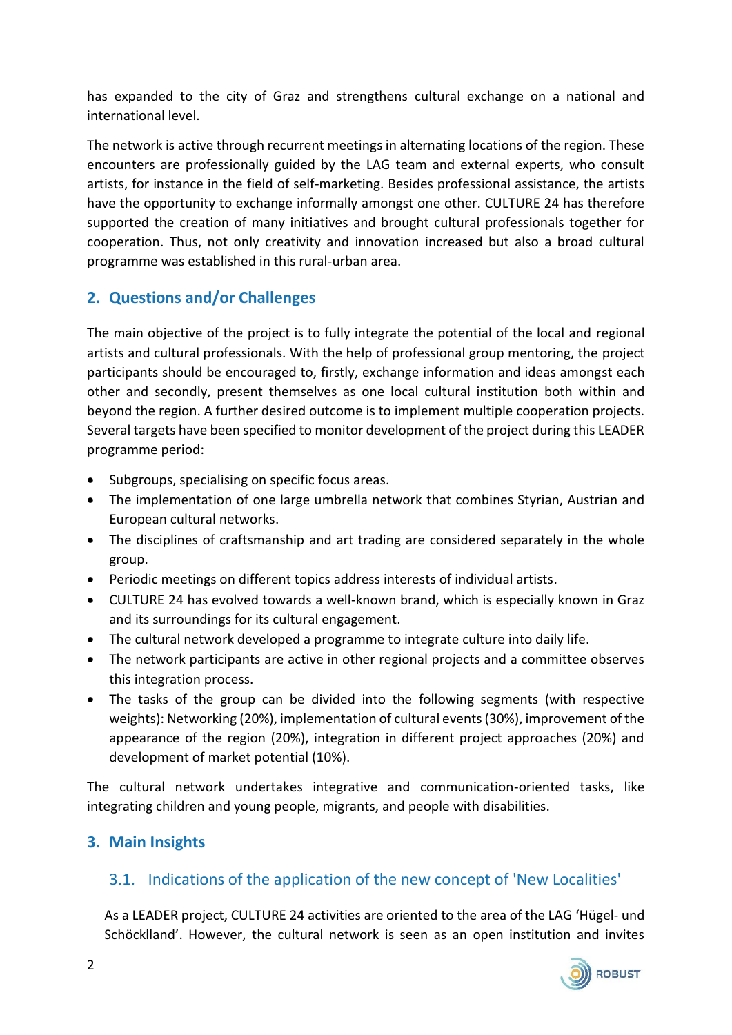has expanded to the city of Graz and strengthens cultural exchange on a national and international level.

The network is active through recurrent meetings in alternating locations of the region. These encounters are professionally guided by the LAG team and external experts, who consult artists, for instance in the field of self-marketing. Besides professional assistance, the artists have the opportunity to exchange informally amongst one other. CULTURE 24 has therefore supported the creation of many initiatives and brought cultural professionals together for cooperation. Thus, not only creativity and innovation increased but also a broad cultural programme was established in this rural-urban area.

## **2. Questions and/or Challenges**

The main objective of the project is to fully integrate the potential of the local and regional artists and cultural professionals. With the help of professional group mentoring, the project participants should be encouraged to, firstly, exchange information and ideas amongst each other and secondly, present themselves as one local cultural institution both within and beyond the region. A further desired outcome is to implement multiple cooperation projects. Several targets have been specified to monitor development of the project during this LEADER programme period:

- Subgroups, specialising on specific focus areas.
- The implementation of one large umbrella network that combines Styrian, Austrian and European cultural networks.
- The disciplines of craftsmanship and art trading are considered separately in the whole group.
- Periodic meetings on different topics address interests of individual artists.
- CULTURE 24 has evolved towards a well-known brand, which is especially known in Graz and its surroundings for its cultural engagement.
- The cultural network developed a programme to integrate culture into daily life.
- The network participants are active in other regional projects and a committee observes this integration process.
- The tasks of the group can be divided into the following segments (with respective weights): Networking (20%), implementation of cultural events (30%), improvement of the appearance of the region (20%), integration in different project approaches (20%) and development of market potential (10%).

The cultural network undertakes integrative and communication-oriented tasks, like integrating children and young people, migrants, and people with disabilities.

### **3. Main Insights**

### 3.1. Indications of the application of the new concept of 'New Localities'

As a LEADER project, CULTURE 24 activities are oriented to the area of the LAG 'Hügel- und Schöcklland'. However, the cultural network is seen as an open institution and invites

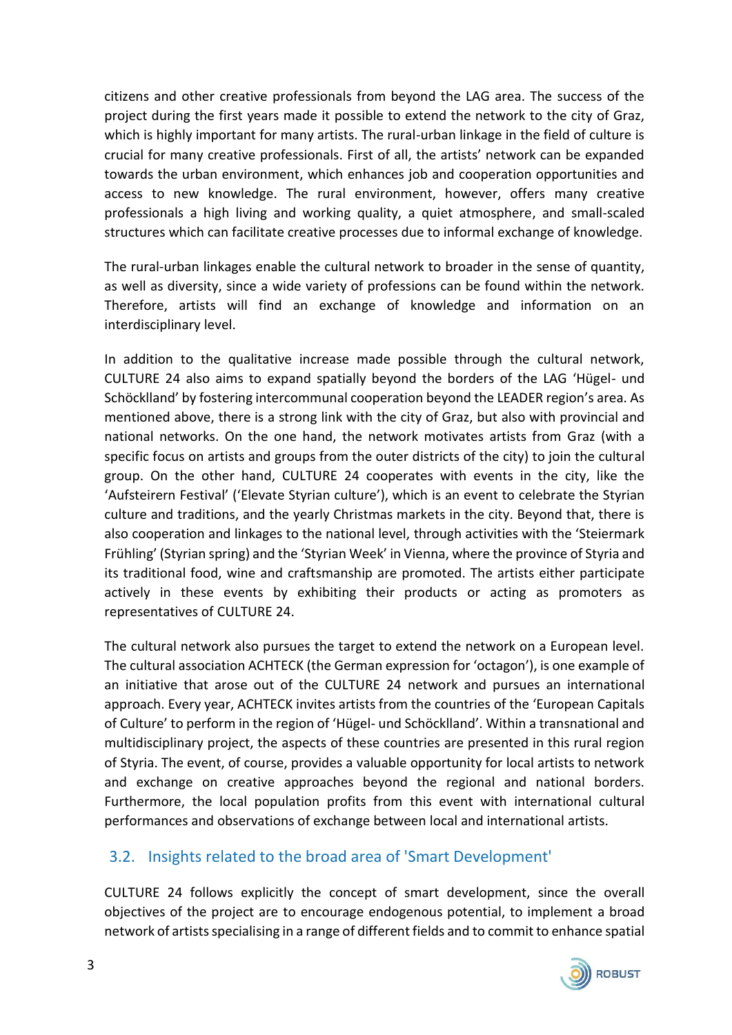citizens and other creative professionals from beyond the LAG area. The success of the project during the first years made it possible to extend the network to the city of Graz, which is highly important for many artists. The rural-urban linkage in the field of culture is crucial for many creative professionals. First of all, the artists' network can be expanded towards the urban environment, which enhances job and cooperation opportunities and access to new knowledge. The rural environment, however, offers many creative professionals a high living and working quality, a quiet atmosphere, and small-scaled structures which can facilitate creative processes due to informal exchange of knowledge.

The rural-urban linkages enable the cultural network to broader in the sense of quantity, as well as diversity, since a wide variety of professions can be found within the network. Therefore, artists will find an exchange of knowledge and information on an interdisciplinary level.

In addition to the qualitative increase made possible through the cultural network, CULTURE 24 also aims to expand spatially beyond the borders of the LAG 'Hügel- und Schöcklland' by fostering intercommunal cooperation beyond the LEADER region's area. As mentioned above, there is a strong link with the city of Graz, but also with provincial and national networks. On the one hand, the network motivates artists from Graz (with a specific focus on artists and groups from the outer districts of the city) to join the cultural group. On the other hand, CULTURE 24 cooperates with events in the city, like the 'Aufsteirern Festival' ('Elevate Styrian culture'), which is an event to celebrate the Styrian culture and traditions, and the yearly Christmas markets in the city. Beyond that, there is also cooperation and linkages to the national level, through activities with the 'Steiermark Frühling' (Styrian spring) and the 'Styrian Week' in Vienna, where the province of Styria and its traditional food, wine and craftsmanship are promoted. The artists either participate actively in these events by exhibiting their products or acting as promoters as representatives of CULTURE 24.

The cultural network also pursues the target to extend the network on a European level. The cultural association ACHTECK (the German expression for 'octagon'), is one example of an initiative that arose out of the CULTURE 24 network and pursues an international approach. Every year, ACHTECK invites artists from the countries of the 'European Capitals of Culture' to perform in the region of 'Hügel- und Schöcklland'. Within a transnational and multidisciplinary project, the aspects of these countries are presented in this rural region of Styria. The event, of course, provides a valuable opportunity for local artists to network and exchange on creative approaches beyond the regional and national borders. Furthermore, the local population profits from this event with international cultural performances and observations of exchange between local and international artists.

### 3.2. Insights related to the broad area of 'Smart Development'

CULTURE 24 follows explicitly the concept of smart development, since the overall objectives of the project are to encourage endogenous potential, to implement a broad network of artists specialising in a range of different fields and to commit to enhance spatial

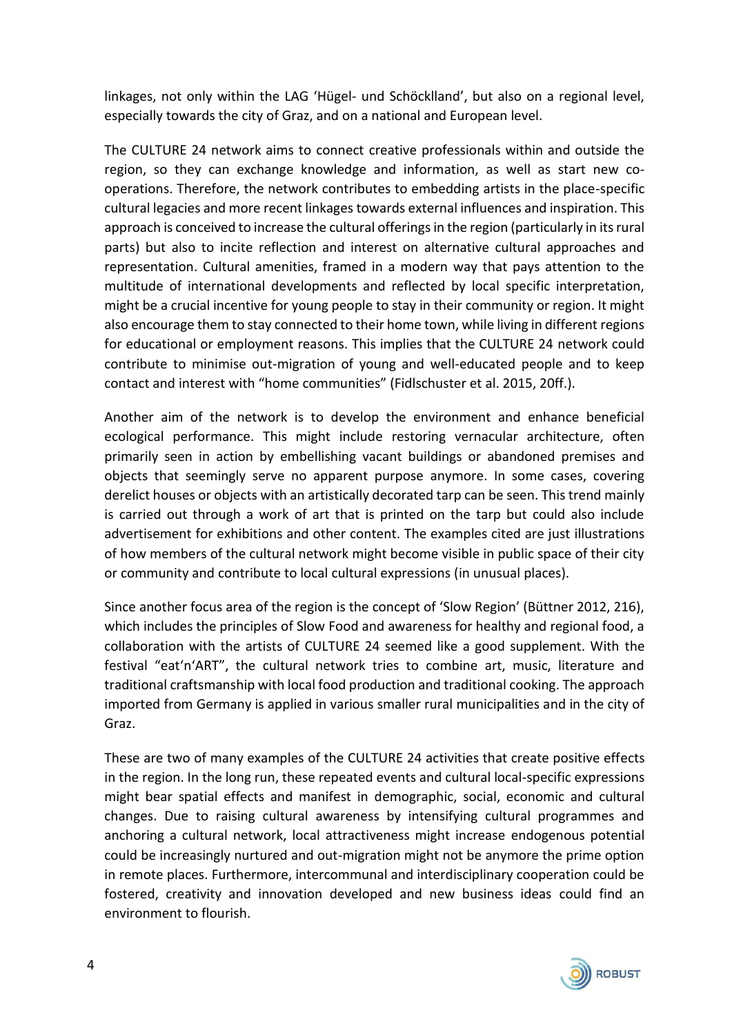linkages, not only within the LAG 'Hügel- und Schöcklland', but also on a regional level, especially towards the city of Graz, and on a national and European level.

The CULTURE 24 network aims to connect creative professionals within and outside the region, so they can exchange knowledge and information, as well as start new cooperations. Therefore, the network contributes to embedding artists in the place-specific cultural legacies and more recent linkages towards external influences and inspiration. This approach is conceived to increase the cultural offerings in the region (particularly in its rural parts) but also to incite reflection and interest on alternative cultural approaches and representation. Cultural amenities, framed in a modern way that pays attention to the multitude of international developments and reflected by local specific interpretation, might be a crucial incentive for young people to stay in their community or region. It might also encourage them to stay connected to their home town, while living in different regions for educational or employment reasons. This implies that the CULTURE 24 network could contribute to minimise out-migration of young and well-educated people and to keep contact and interest with "home communities" (Fidlschuster et al. 2015, 20ff.).

Another aim of the network is to develop the environment and enhance beneficial ecological performance. This might include restoring vernacular architecture, often primarily seen in action by embellishing vacant buildings or abandoned premises and objects that seemingly serve no apparent purpose anymore. In some cases, covering derelict houses or objects with an artistically decorated tarp can be seen. This trend mainly is carried out through a work of art that is printed on the tarp but could also include advertisement for exhibitions and other content. The examples cited are just illustrations of how members of the cultural network might become visible in public space of their city or community and contribute to local cultural expressions (in unusual places).

Since another focus area of the region is the concept of 'Slow Region' (Büttner 2012, 216), which includes the principles of Slow Food and awareness for healthy and regional food, a collaboration with the artists of CULTURE 24 seemed like a good supplement. With the festival "eat'n'ART", the cultural network tries to combine art, music, literature and traditional craftsmanship with local food production and traditional cooking. The approach imported from Germany is applied in various smaller rural municipalities and in the city of Graz.

These are two of many examples of the CULTURE 24 activities that create positive effects in the region. In the long run, these repeated events and cultural local-specific expressions might bear spatial effects and manifest in demographic, social, economic and cultural changes. Due to raising cultural awareness by intensifying cultural programmes and anchoring a cultural network, local attractiveness might increase endogenous potential could be increasingly nurtured and out-migration might not be anymore the prime option in remote places. Furthermore, intercommunal and interdisciplinary cooperation could be fostered, creativity and innovation developed and new business ideas could find an environment to flourish.

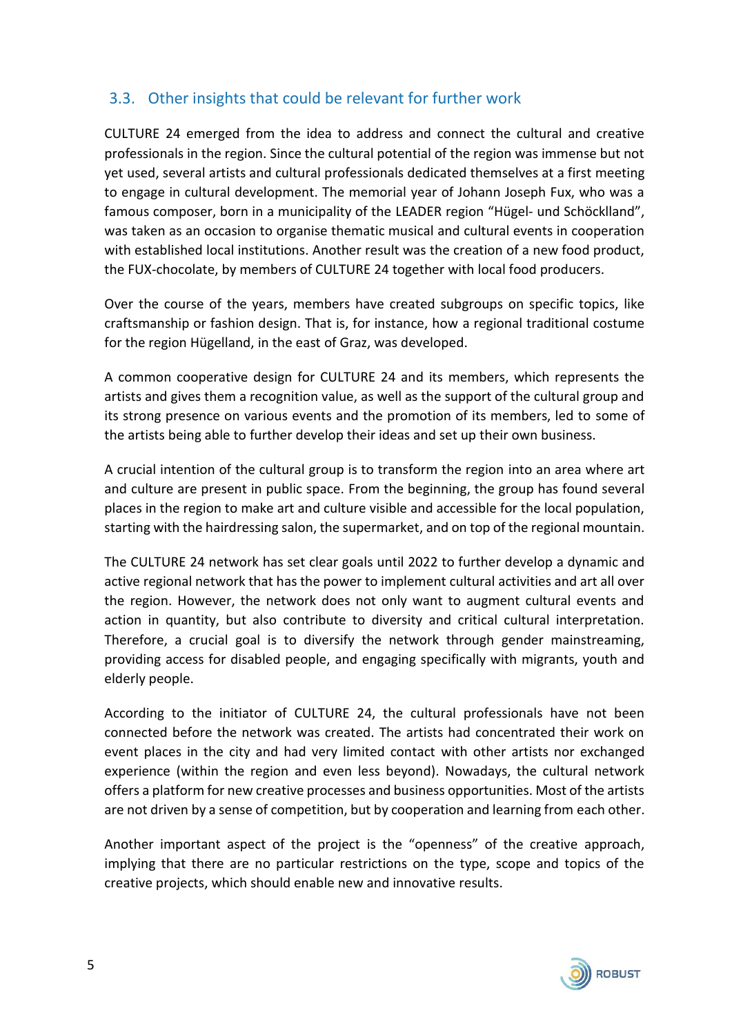### 3.3. Other insights that could be relevant for further work

CULTURE 24 emerged from the idea to address and connect the cultural and creative professionals in the region. Since the cultural potential of the region was immense but not yet used, several artists and cultural professionals dedicated themselves at a first meeting to engage in cultural development. The memorial year of Johann Joseph Fux, who was a famous composer, born in a municipality of the LEADER region "Hügel- und Schöcklland", was taken as an occasion to organise thematic musical and cultural events in cooperation with established local institutions. Another result was the creation of a new food product, the FUX-chocolate, by members of CULTURE 24 together with local food producers.

Over the course of the years, members have created subgroups on specific topics, like craftsmanship or fashion design. That is, for instance, how a regional traditional costume for the region Hügelland, in the east of Graz, was developed.

A common cooperative design for CULTURE 24 and its members, which represents the artists and gives them a recognition value, as well as the support of the cultural group and its strong presence on various events and the promotion of its members, led to some of the artists being able to further develop their ideas and set up their own business.

A crucial intention of the cultural group is to transform the region into an area where art and culture are present in public space. From the beginning, the group has found several places in the region to make art and culture visible and accessible for the local population, starting with the hairdressing salon, the supermarket, and on top of the regional mountain.

The CULTURE 24 network has set clear goals until 2022 to further develop a dynamic and active regional network that has the power to implement cultural activities and art all over the region. However, the network does not only want to augment cultural events and action in quantity, but also contribute to diversity and critical cultural interpretation. Therefore, a crucial goal is to diversify the network through gender mainstreaming, providing access for disabled people, and engaging specifically with migrants, youth and elderly people.

According to the initiator of CULTURE 24, the cultural professionals have not been connected before the network was created. The artists had concentrated their work on event places in the city and had very limited contact with other artists nor exchanged experience (within the region and even less beyond). Nowadays, the cultural network offers a platform for new creative processes and business opportunities. Most of the artists are not driven by a sense of competition, but by cooperation and learning from each other.

Another important aspect of the project is the "openness" of the creative approach, implying that there are no particular restrictions on the type, scope and topics of the creative projects, which should enable new and innovative results.

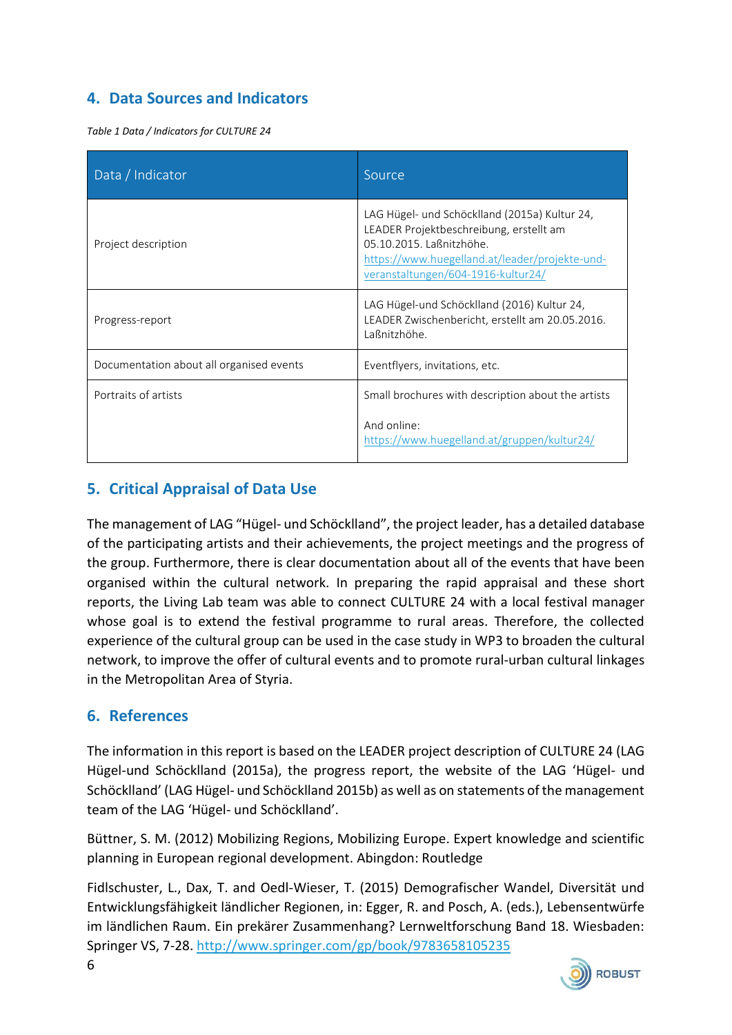## **4. Data Sources and Indicators**

*Table 1 Data / Indicators for CULTURE 24*

| Data / Indicator                         | Source                                                                                                                                                                                                       |
|------------------------------------------|--------------------------------------------------------------------------------------------------------------------------------------------------------------------------------------------------------------|
| Project description                      | LAG Hügel- und Schöcklland (2015a) Kultur 24,<br>LEADER Projektbeschreibung, erstellt am<br>05.10.2015. Laßnitzhöhe.<br>https://www.huegelland.at/leader/projekte-und-<br>veranstaltungen/604-1916-kultur24/ |
| Progress-report                          | LAG Hügel-und Schöcklland (2016) Kultur 24,<br>LEADER Zwischenbericht, erstellt am 20.05.2016.<br>Laßnitzhöhe.                                                                                               |
| Documentation about all organised events | Eventflyers, invitations, etc.                                                                                                                                                                               |
| Portraits of artists                     | Small brochures with description about the artists                                                                                                                                                           |
|                                          | And online:<br>https://www.huegelland.at/gruppen/kultur24/                                                                                                                                                   |

## **5. Critical Appraisal of Data Use**

The management of LAG "Hügel- und Schöcklland", the project leader, has a detailed database of the participating artists and their achievements, the project meetings and the progress of the group. Furthermore, there is clear documentation about all of the events that have been organised within the cultural network. In preparing the rapid appraisal and these short reports, the Living Lab team was able to connect CULTURE 24 with a local festival manager whose goal is to extend the festival programme to rural areas. Therefore, the collected experience of the cultural group can be used in the case study in WP3 to broaden the cultural network, to improve the offer of cultural events and to promote rural-urban cultural linkages in the Metropolitan Area of Styria.

#### **6. References**

The information in this report is based on the LEADER project description of CULTURE 24 (LAG Hügel-und Schöcklland (2015a), the progress report, the website of the LAG 'Hügel- und Schöcklland' (LAG Hügel- und Schöcklland 2015b) as well as on statements of the management team of the LAG 'Hügel- und Schöcklland'.

Büttner, S. M. (2012) Mobilizing Regions, Mobilizing Europe. Expert knowledge and scientific planning in European regional development. Abingdon: Routledge

Fidlschuster, L., Dax, T. and Oedl-Wieser, T. (2015) Demografischer Wandel, Diversität und Entwicklungsfähigkeit ländlicher Regionen, in: Egger, R. and Posch, A. (eds.), Lebensentwürfe im ländlichen Raum. Ein prekärer Zusammenhang? Lernweltforschung Band 18. Wiesbaden: Springer VS, 7-28.<http://www.springer.com/gp/book/9783658105235>